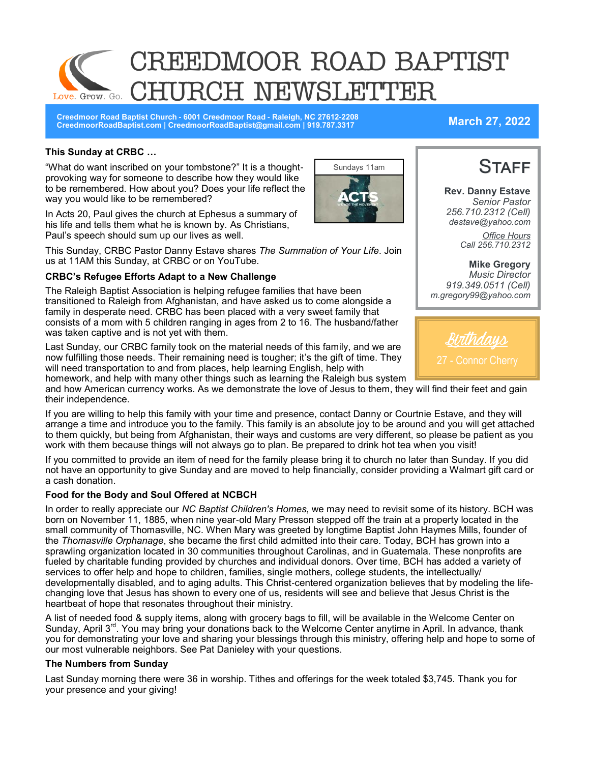

**Creedmoor Road Baptist Church - 6001 Creedmoor Road - Raleigh, NC 27612-2208 CreedmoorRoadBaptist.com | CreedmoorRoadBaptist@gmail.com | 919.787.3317 March 27, 2022**

#### **This Sunday at CRBC …**

"What do want inscribed on your tombstone?" It is a thoughtprovoking way for someone to describe how they would like to be remembered. How about you? Does your life reflect the way you would like to be remembered?

In Acts 20, Paul gives the church at Ephesus a summary of his life and tells them what he is known by. As Christians, Paul's speech should sum up our lives as well.

This Sunday, CRBC Pastor Danny Estave shares *The Summation of Your Life*. Join us at 11AM this Sunday, at CRBC or on YouTube.

#### **CRBC's Refugee Efforts Adapt to a New Challenge**

The Raleigh Baptist Association is helping refugee families that have been transitioned to Raleigh from Afghanistan, and have asked us to come alongside a family in desperate need. CRBC has been placed with a very sweet family that consists of a mom with 5 children ranging in ages from 2 to 16. The husband/father was taken captive and is not yet with them.

Last Sunday, our CRBC family took on the material needs of this family, and we are now fulfilling those needs. Their remaining need is tougher; it's the gift of time. They will need transportation to and from places, help learning English, help with homework, and help with many other things such as learning the Raleigh bus system

and how American currency works. As we demonstrate the love of Jesus to them, they will find their feet and gain their independence.

If you are willing to help this family with your time and presence, contact Danny or Courtnie Estave, and they will arrange a time and introduce you to the family. This family is an absolute joy to be around and you will get attached to them quickly, but being from Afghanistan, their ways and customs are very different, so please be patient as you work with them because things will not always go to plan. Be prepared to drink hot tea when you visit!

If you committed to provide an item of need for the family please bring it to church no later than Sunday. If you did not have an opportunity to give Sunday and are moved to help financially, consider providing a Walmart gift card or a cash donation.

#### **Food for the Body and Soul Offered at NCBCH**

In order to really appreciate our *NC Baptist Children's Homes*, we may need to revisit some of its history. BCH was born on November 11, 1885, when nine year-old Mary Presson stepped off the train at a property located in the small community of Thomasville, NC. When Mary was greeted by longtime Baptist John Haymes Mills, founder of the *Thomasville Orphanage*, she became the first child admitted into their care. Today, BCH has grown into a sprawling organization located in 30 communities throughout Carolinas, and in Guatemala. These nonprofits are fueled by charitable funding provided by churches and individual donors. Over time, BCH has added a variety of services to offer help and hope to children, families, single mothers, college students, the intellectually/ developmentally disabled, and to aging adults. This Christ-centered organization believes that by modeling the lifechanging love that Jesus has shown to every one of us, residents will see and believe that Jesus Christ is the heartbeat of hope that resonates throughout their ministry.

A list of needed food & supply items, along with grocery bags to fill, will be available in the Welcome Center on Sunday, April 3<sup>rd</sup>. You may bring your donations back to the Welcome Center anytime in April. In advance, thank you for demonstrating your love and sharing your blessings through this ministry, offering help and hope to some of our most vulnerable neighbors. See Pat Danieley with your questions.

#### **The Numbers from Sunday**

Last Sunday morning there were 36 in worship. Tithes and offerings for the week totaled \$3,745. Thank you for your presence and your giving!





**Rev. Danny Estave** *Senior Pastor 256.710.2312 (Cell) destave@yahoo.com Office Hours Call 256.710.2312* 

**Mike Gregory** *Music Director 919.349.0511 (Cell) m.gregory99@yahoo.com*